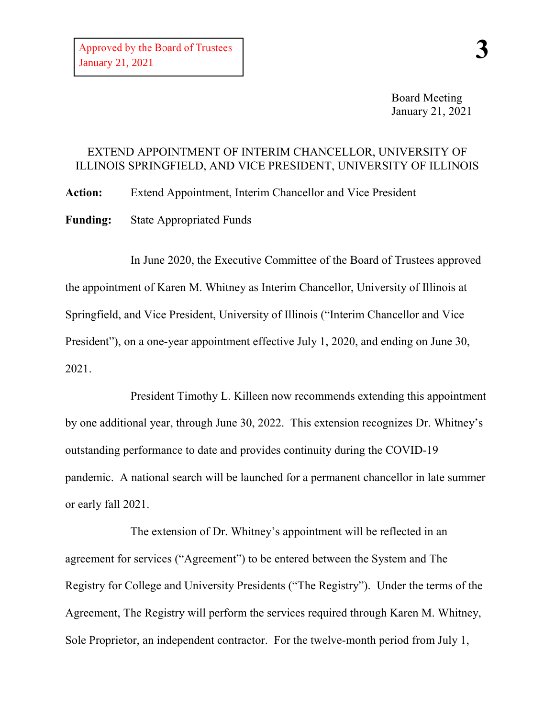Board Meeting January 21, 2021

## EXTEND APPOINTMENT OF INTERIM CHANCELLOR, UNIVERSITY OF ILLINOIS SPRINGFIELD, AND VICE PRESIDENT, UNIVERSITY OF ILLINOIS

**Action:** Extend Appointment, Interim Chancellor and Vice President **Funding:** State Appropriated Funds

In June 2020, the Executive Committee of the Board of Trustees approved the appointment of Karen M. Whitney as Interim Chancellor, University of Illinois at Springfield, and Vice President, University of Illinois ("Interim Chancellor and Vice President"), on a one-year appointment effective July 1, 2020, and ending on June 30, 2021.

President Timothy L. Killeen now recommends extending this appointment by one additional year, through June 30, 2022. This extension recognizes Dr. Whitney's outstanding performance to date and provides continuity during the COVID-19 pandemic. A national search will be launched for a permanent chancellor in late summer or early fall 2021.

The extension of Dr. Whitney's appointment will be reflected in an agreement for services ("Agreement") to be entered between the System and The Registry for College and University Presidents ("The Registry"). Under the terms of the Agreement, The Registry will perform the services required through Karen M. Whitney, Sole Proprietor, an independent contractor. For the twelve-month period from July 1,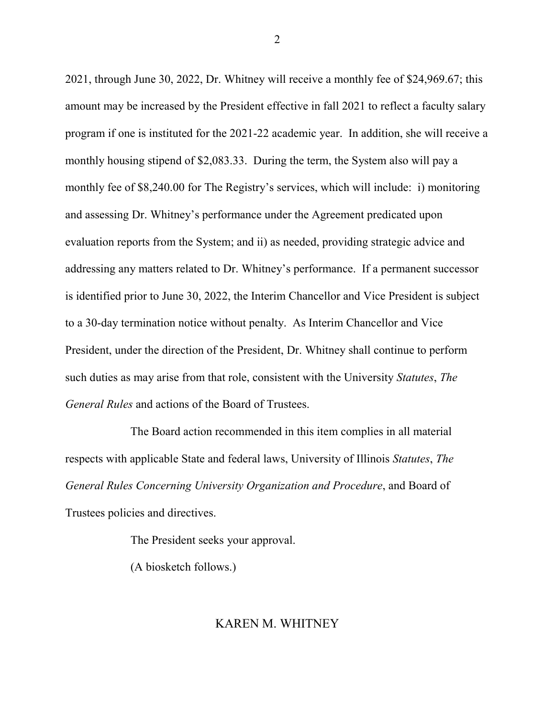2021, through June 30, 2022, Dr. Whitney will receive a monthly fee of \$24,969.67; this amount may be increased by the President effective in fall 2021 to reflect a faculty salary program if one is instituted for the 2021-22 academic year. In addition, she will receive a monthly housing stipend of \$2,083.33. During the term, the System also will pay a monthly fee of \$8,240.00 for The Registry's services, which will include: i) monitoring and assessing Dr. Whitney's performance under the Agreement predicated upon evaluation reports from the System; and ii) as needed, providing strategic advice and addressing any matters related to Dr. Whitney's performance. If a permanent successor is identified prior to June 30, 2022, the Interim Chancellor and Vice President is subject to a 30-day termination notice without penalty. As Interim Chancellor and Vice President, under the direction of the President, Dr. Whitney shall continue to perform such duties as may arise from that role, consistent with the University *Statutes*, *The General Rules* and actions of the Board of Trustees.

The Board action recommended in this item complies in all material respects with applicable State and federal laws, University of Illinois *Statutes*, *The General Rules Concerning University Organization and Procedure*, and Board of Trustees policies and directives.

The President seeks your approval.

(A biosketch follows.)

## KAREN M. WHITNEY